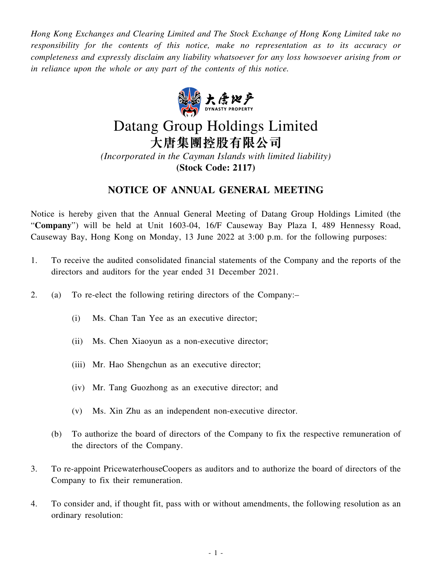*Hong Kong Exchanges and Clearing Limited and The Stock Exchange of Hong Kong Limited take no responsibility for the contents of this notice, make no representation as to its accuracy or completeness and expressly disclaim any liability whatsoever for any loss howsoever arising from or in reliance upon the whole or any part of the contents of this notice.*



## Datang Group Holdings Limited 大唐集團控股有限公司

*(Incorporated in the Cayman Islands with limited liability)* **(Stock Code: 2117)**

## **NOTICE OF ANNUAL GENERAL MEETING**

Notice is hereby given that the Annual General Meeting of Datang Group Holdings Limited (the "**Company**") will be held at Unit 1603-04, 16/F Causeway Bay Plaza I, 489 Hennessy Road, Causeway Bay, Hong Kong on Monday, 13 June 2022 at 3:00 p.m. for the following purposes:

- 1. To receive the audited consolidated financial statements of the Company and the reports of the directors and auditors for the year ended 31 December 2021.
- 2. (a) To re-elect the following retiring directors of the Company:–
	- (i) Ms. Chan Tan Yee as an executive director;
	- (ii) Ms. Chen Xiaoyun as a non-executive director;
	- (iii) Mr. Hao Shengchun as an executive director;
	- (iv) Mr. Tang Guozhong as an executive director; and
	- (v) Ms. Xin Zhu as an independent non-executive director.
	- (b) To authorize the board of directors of the Company to fix the respective remuneration of the directors of the Company.
- 3. To re-appoint PricewaterhouseCoopers as auditors and to authorize the board of directors of the Company to fix their remuneration.
- 4. To consider and, if thought fit, pass with or without amendments, the following resolution as an ordinary resolution: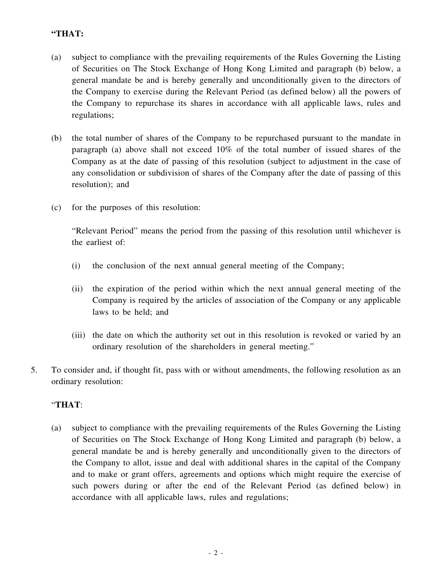## **"THAT:**

- (a) subject to compliance with the prevailing requirements of the Rules Governing the Listing of Securities on The Stock Exchange of Hong Kong Limited and paragraph (b) below, a general mandate be and is hereby generally and unconditionally given to the directors of the Company to exercise during the Relevant Period (as defined below) all the powers of the Company to repurchase its shares in accordance with all applicable laws, rules and regulations;
- (b) the total number of shares of the Company to be repurchased pursuant to the mandate in paragraph (a) above shall not exceed 10% of the total number of issued shares of the Company as at the date of passing of this resolution (subject to adjustment in the case of any consolidation or subdivision of shares of the Company after the date of passing of this resolution); and
- (c) for the purposes of this resolution:

"Relevant Period" means the period from the passing of this resolution until whichever is the earliest of:

- (i) the conclusion of the next annual general meeting of the Company;
- (ii) the expiration of the period within which the next annual general meeting of the Company is required by the articles of association of the Company or any applicable laws to be held; and
- (iii) the date on which the authority set out in this resolution is revoked or varied by an ordinary resolution of the shareholders in general meeting."
- 5. To consider and, if thought fit, pass with or without amendments, the following resolution as an ordinary resolution:

## "**THAT**:

(a) subject to compliance with the prevailing requirements of the Rules Governing the Listing of Securities on The Stock Exchange of Hong Kong Limited and paragraph (b) below, a general mandate be and is hereby generally and unconditionally given to the directors of the Company to allot, issue and deal with additional shares in the capital of the Company and to make or grant offers, agreements and options which might require the exercise of such powers during or after the end of the Relevant Period (as defined below) in accordance with all applicable laws, rules and regulations;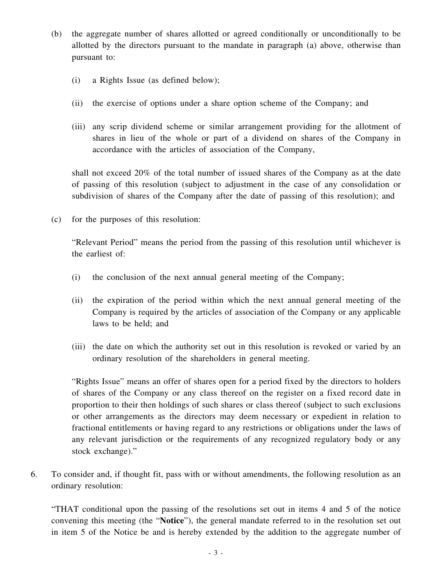- (b) the aggregate number of shares allotted or agreed conditionally or unconditionally to be allotted by the directors pursuant to the mandate in paragraph (a) above, otherwise than pursuant to:
	- (i) a Rights Issue (as defined below);
	- (ii) the exercise of options under a share option scheme of the Company; and
	- (iii) any scrip dividend scheme or similar arrangement providing for the allotment of shares in lieu of the whole or part of a dividend on shares of the Company in accordance with the articles of association of the Company,

shall not exceed 20% of the total number of issued shares of the Company as at the date of passing of this resolution (subject to adjustment in the case of any consolidation or subdivision of shares of the Company after the date of passing of this resolution); and

(c) for the purposes of this resolution:

"Relevant Period" means the period from the passing of this resolution until whichever is the earliest of:

- (i) the conclusion of the next annual general meeting of the Company;
- (ii) the expiration of the period within which the next annual general meeting of the Company is required by the articles of association of the Company or any applicable laws to be held; and
- (iii) the date on which the authority set out in this resolution is revoked or varied by an ordinary resolution of the shareholders in general meeting.

"Rights Issue" means an offer of shares open for a period fixed by the directors to holders of shares of the Company or any class thereof on the register on a fixed record date in proportion to their then holdings of such shares or class thereof (subject to such exclusions or other arrangements as the directors may deem necessary or expedient in relation to fractional entitlements or having regard to any restrictions or obligations under the laws of any relevant jurisdiction or the requirements of any recognized regulatory body or any stock exchange)."

6. To consider and, if thought fit, pass with or without amendments, the following resolution as an ordinary resolution:

"THAT conditional upon the passing of the resolutions set out in items 4 and 5 of the notice convening this meeting (the "**Notice**"), the general mandate referred to in the resolution set out in item 5 of the Notice be and is hereby extended by the addition to the aggregate number of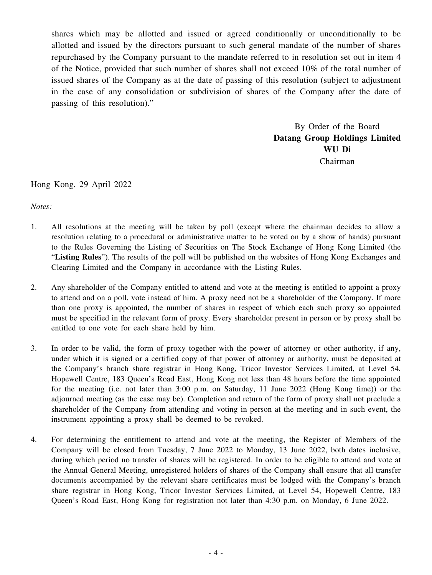shares which may be allotted and issued or agreed conditionally or unconditionally to be allotted and issued by the directors pursuant to such general mandate of the number of shares repurchased by the Company pursuant to the mandate referred to in resolution set out in item 4 of the Notice, provided that such number of shares shall not exceed 10% of the total number of issued shares of the Company as at the date of passing of this resolution (subject to adjustment in the case of any consolidation or subdivision of shares of the Company after the date of passing of this resolution)."

> By Order of the Board **Datang Group Holdings Limited WU Di** Chairman

Hong Kong, 29 April 2022

*Notes:*

- 1. All resolutions at the meeting will be taken by poll (except where the chairman decides to allow a resolution relating to a procedural or administrative matter to be voted on by a show of hands) pursuant to the Rules Governing the Listing of Securities on The Stock Exchange of Hong Kong Limited (the "**Listing Rules**"). The results of the poll will be published on the websites of Hong Kong Exchanges and Clearing Limited and the Company in accordance with the Listing Rules.
- 2. Any shareholder of the Company entitled to attend and vote at the meeting is entitled to appoint a proxy to attend and on a poll, vote instead of him. A proxy need not be a shareholder of the Company. If more than one proxy is appointed, the number of shares in respect of which each such proxy so appointed must be specified in the relevant form of proxy. Every shareholder present in person or by proxy shall be entitled to one vote for each share held by him.
- 3. In order to be valid, the form of proxy together with the power of attorney or other authority, if any, under which it is signed or a certified copy of that power of attorney or authority, must be deposited at the Company's branch share registrar in Hong Kong, Tricor Investor Services Limited, at Level 54, Hopewell Centre, 183 Queen's Road East, Hong Kong not less than 48 hours before the time appointed for the meeting (i.e. not later than 3:00 p.m. on Saturday, 11 June 2022 (Hong Kong time)) or the adjourned meeting (as the case may be). Completion and return of the form of proxy shall not preclude a shareholder of the Company from attending and voting in person at the meeting and in such event, the instrument appointing a proxy shall be deemed to be revoked.
- 4. For determining the entitlement to attend and vote at the meeting, the Register of Members of the Company will be closed from Tuesday, 7 June 2022 to Monday, 13 June 2022, both dates inclusive, during which period no transfer of shares will be registered. In order to be eligible to attend and vote at the Annual General Meeting, unregistered holders of shares of the Company shall ensure that all transfer documents accompanied by the relevant share certificates must be lodged with the Company's branch share registrar in Hong Kong, Tricor Investor Services Limited, at Level 54, Hopewell Centre, 183 Queen's Road East, Hong Kong for registration not later than 4:30 p.m. on Monday, 6 June 2022.